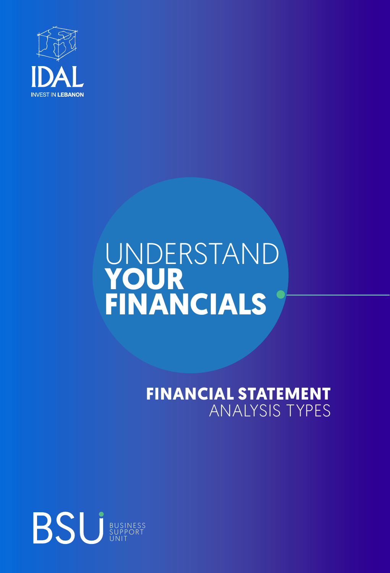

# UNDERSTAND **YOUR FINANCIALS**

## **FINANCIAL STATEMENT** ANALYSIS TYPES

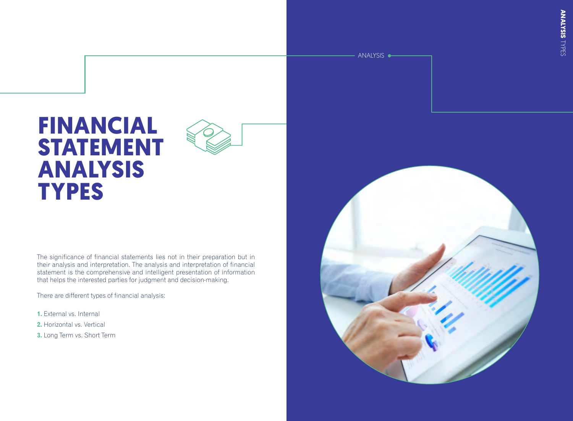# **FINANCIAL STATEMENT ANALYSIS TYPES**

The significance of financial statements lies not in their preparation but in their analysis and interpretation. The analysis and interpretation of financial statement is the comprehensive and intelligent presentation of information that helps the interested parties for judgment and decision-making.

There are different types of financial analysis:

**1.** External vs. Internal

**2.** Horizontal vs. Vertical

**3.** Long Term vs. Short Term



ANALYSIS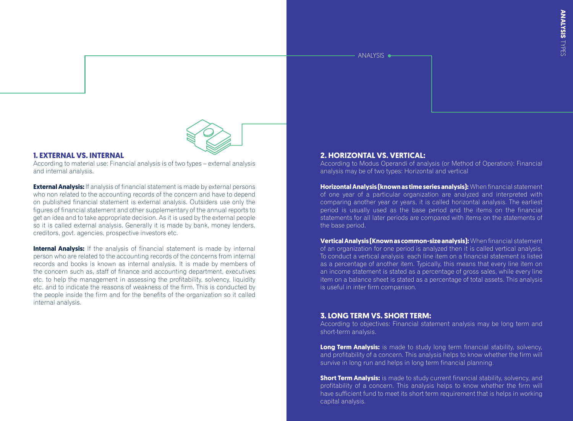ANALYSIS



#### **1. EXTERNAL VS. INTERNAL**

According to material use: Financial analysis is of two types – external analysis and internal analysis.

**External Analysis:** If analysis of financial statement is made by external persons who non related to the accounting records of the concern and have to depend on published financial statement is external analysis. Outsiders use only the figures of financial statement and other supplementary of the annual reports to get an idea and to take appropriate decision. As it is used by the external people so it is called external analysis. Generally it is made by bank, money lenders, creditors, govt. agencies, prospective investors etc.

**Internal Analysis:** If the analysis of financial statement is made by internal person who are related to the accounting records of the concerns from internal records and books is known as internal analysis. It is made by members of the concern such as, staff of finance and accounting department, executives etc. to help the management in assessing the profitability, solvency, liquidity etc. and to indicate the reasons of weakness of the firm. This is conducted by the people inside the firm and for the benefits of the organization so it called internal analysis.

### **2. HORIZONTAL VS. VERTICAL:**

According to Modus Operandi of analysis (or Method of Operation): Financial analysis may be of two types: Horizontal and vertical

**Horizontal Analysis (known as time series analysis):** When financial statement of one year of a particular organization are analyzed and interpreted with comparing another year or years, it is called horizontal analysis. The earliest period is usually used as the base period and the items on the financial statements for all later periods are compared with items on the statements of the base period.

**Vertical Analysis (Known as common-size analysis):** When financial statement of an organization for one period is analyzed then it is called vertical analysis. To conduct a vertical analysis each line item on a financial statement is listed as a percentage of another item. Typically, this means that every line item on an income statement is stated as a percentage of gross sales, while every line item on a balance sheet is stated as a percentage of total assets. This analysis is useful in inter firm comparison.

### **3. LONG TERM VS. SHORT TERM:**

According to objectives: Financial statement analysis may be long term and short-term analysis.

**Long Term Analysis:** is made to study long term financial stability, solvency, and profitability of a concern. This analysis helps to know whether the firm will survive in long run and helps in long term financial planning.

**Short Term Analysis:** is made to study current financial stability, solvency, and profitability of a concern. This analysis helps to know whether the firm will have sufficient fund to meet its short term requirement that is helps in working capital analysis.